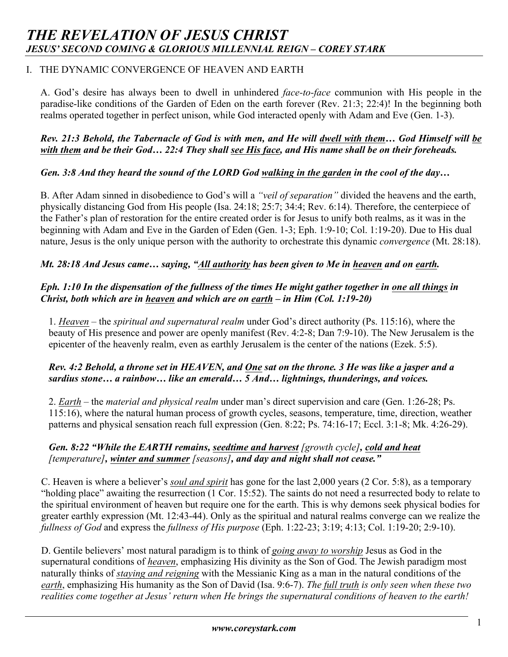# I. THE DYNAMIC CONVERGENCE OF HEAVEN AND EARTH

A. God's desire has always been to dwell in unhindered *face-to-face* communion with His people in the paradise-like conditions of the Garden of Eden on the earth forever (Rev. 21:3; 22:4)! In the beginning both realms operated together in perfect unison, while God interacted openly with Adam and Eve (Gen. 1-3).

#### *Rev. 21:3 Behold, the Tabernacle of God is with men, and He will dwell with them… God Himself will be with them and be their God… 22:4 They shall see His face, and His name shall be on their foreheads.*

# *Gen. 3:8 And they heard the sound of the LORD God walking in the garden in the cool of the day…*

B. After Adam sinned in disobedience to God's will a *"veil of separation"* divided the heavens and the earth, physically distancing God from His people (Isa. 24:18; 25:7; 34:4; Rev. 6:14). Therefore, the centerpiece of the Father's plan of restoration for the entire created order is for Jesus to unify both realms, as it was in the beginning with Adam and Eve in the Garden of Eden (Gen. 1-3; Eph. 1:9-10; Col. 1:19-20). Due to His dual nature, Jesus is the only unique person with the authority to orchestrate this dynamic *convergence* (Mt. 28:18).

# *Mt. 28:18 And Jesus came… saying, "All authority has been given to Me in heaven and on earth.*

# *Eph. 1:10 In the dispensation of the fullness of the times He might gather together in one all things in Christ, both which are in heaven and which are on earth – in Him (Col. 1:19-20)*

1. *Heaven –* the *spiritual and supernatural realm* under God's direct authority (Ps. 115:16), where the beauty of His presence and power are openly manifest (Rev. 4:2-8; Dan 7:9-10). The New Jerusalem is the epicenter of the heavenly realm, even as earthly Jerusalem is the center of the nations (Ezek. 5:5).

#### *Rev. 4:2 Behold, a throne set in HEAVEN, and One sat on the throne. 3 He was like a jasper and a sardius stone… a rainbow… like an emerald… 5 And… lightnings, thunderings, and voices.*

2. *Earth* – the *material and physical realm* under man's direct supervision and care (Gen. 1:26-28; Ps. 115:16), where the natural human process of growth cycles, seasons, temperature, time, direction, weather patterns and physical sensation reach full expression (Gen. 8:22; Ps. 74:16-17; Eccl. 3:1-8; Mk. 4:26-29).

# *Gen. 8:22 "While the EARTH remains, seedtime and harvest [growth cycle], cold and heat [temperature], winter and summer [seasons], and day and night shall not cease."*

C. Heaven is where a believer's *soul and spirit* has gone for the last 2,000 years (2 Cor. 5:8), as a temporary "holding place" awaiting the resurrection (1 Cor. 15:52). The saints do not need a resurrected body to relate to the spiritual environment of heaven but require one for the earth. This is why demons seek physical bodies for greater earthly expression (Mt. 12:43-44). Only as the spiritual and natural realms converge can we realize the *fullness of God* and express the *fullness of His purpose* (Eph. 1:22-23; 3:19; 4:13; Col. 1:19-20; 2:9-10).

D. Gentile believers' most natural paradigm is to think of *going away to worship* Jesus as God in the supernatural conditions of *heaven*, emphasizing His divinity as the Son of God. The Jewish paradigm most naturally thinks of *staying and reigning* with the Messianic King as a man in the natural conditions of the *earth*, emphasizing His humanity as the Son of David (Isa. 9:6-7). *The full truth is only seen when these two realities come together at Jesus' return when He brings the supernatural conditions of heaven to the earth!*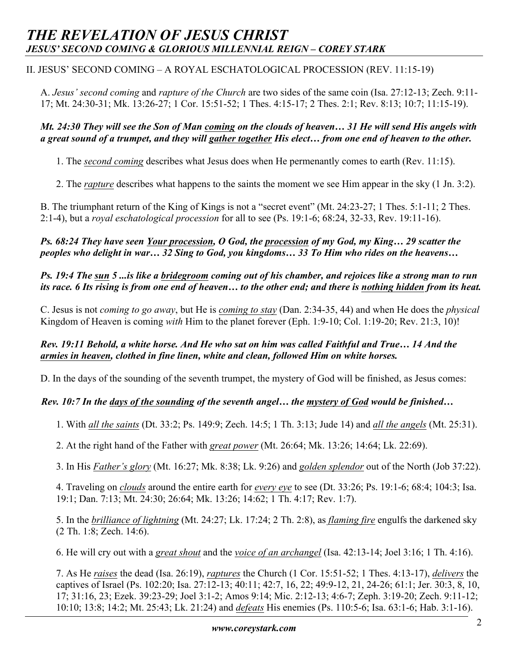# *THE REVELATION OF JESUS CHRIST JESUS' SECOND COMING & GLORIOUS MILLENNIAL REIGN – COREY STARK*

#### II. JESUS' SECOND COMING – A ROYAL ESCHATOLOGICAL PROCESSION (REV. 11:15-19)

A. *Jesus' second coming* and *rapture of the Church* are two sides of the same coin (Isa. 27:12-13; Zech. 9:11- 17; Mt. 24:30-31; Mk. 13:26-27; 1 Cor. 15:51-52; 1 Thes. 4:15-17; 2 Thes. 2:1; Rev. 8:13; 10:7; 11:15-19).

#### *Mt. 24:30 They will see the Son of Man coming on the clouds of heaven… 31 He will send His angels with a great sound of a trumpet, and they will gather together His elect… from one end of heaven to the other.*

1. The *second coming* describes what Jesus does when He permenantly comes to earth (Rev. 11:15).

2. The *rapture* describes what happens to the saints the moment we see Him appear in the sky (1 Jn. 3:2).

B. The triumphant return of the King of Kings is not a "secret event" (Mt. 24:23-27; 1 Thes. 5:1-11; 2 Thes. 2:1-4), but a *royal eschatological procession* for all to see (Ps. 19:1-6; 68:24, 32-33, Rev. 19:11-16).

*Ps. 68:24 They have seen Your procession, O God, the procession of my God, my King… 29 scatter the peoples who delight in war… 32 Sing to God, you kingdoms… 33 To Him who rides on the heavens…*

# *Ps. 19:4 The sun 5 ...is like a bridegroom coming out of his chamber, and rejoices like a strong man to run its race. 6 Its rising is from one end of heaven… to the other end; and there is nothing hidden from its heat.*

C. Jesus is not *coming to go away*, but He is *coming to stay* (Dan. 2:34-35, 44) and when He does the *physical*  Kingdom of Heaven is coming *with* Him to the planet forever (Eph. 1:9-10; Col. 1:19-20; Rev. 21:3, 10)!

# *Rev. 19:11 Behold, a white horse. And He who sat on him was called Faithful and True… 14 And the armies in heaven, clothed in fine linen, white and clean, followed Him on white horses.*

D. In the days of the sounding of the seventh trumpet, the mystery of God will be finished, as Jesus comes:

#### *Rev. 10:7 In the days of the sounding of the seventh angel… the mystery of God would be finished…*

1. With *all the saints* (Dt. 33:2; Ps. 149:9; Zech. 14:5; 1 Th. 3:13; Jude 14) and *all the angels* (Mt. 25:31).

2. At the right hand of the Father with *great power* (Mt. 26:64; Mk. 13:26; 14:64; Lk. 22:69).

3. In His *Father's glory* (Mt. 16:27; Mk. 8:38; Lk. 9:26) and *golden splendor* out of the North (Job 37:22).

4. Traveling on *clouds* around the entire earth for *every eye* to see (Dt. 33:26; Ps. 19:1-6; 68:4; 104:3; Isa. 19:1; Dan. 7:13; Mt. 24:30; 26:64; Mk. 13:26; 14:62; 1 Th. 4:17; Rev. 1:7).

5. In the *brilliance of lightning* (Mt. 24:27; Lk. 17:24; 2 Th. 2:8), as *flaming fire* engulfs the darkened sky (2 Th. 1:8; Zech. 14:6).

6. He will cry out with a *great shout* and the *voice of an archangel* (Isa. 42:13-14; Joel 3:16; 1 Th. 4:16).

7. As He *raises* the dead (Isa. 26:19), *raptures* the Church (1 Cor. 15:51-52; 1 Thes. 4:13-17), *delivers* the captives of Israel (Ps. 102:20; Isa. 27:12-13; 40:11; 42:7, 16, 22; 49:9-12, 21, 24-26; 61:1; Jer. 30:3, 8, 10, 17; 31:16, 23; Ezek. 39:23-29; Joel 3:1-2; Amos 9:14; Mic. 2:12-13; 4:6-7; Zeph. 3:19-20; Zech. 9:11-12; 10:10; 13:8; 14:2; Mt. 25:43; Lk. 21:24) and *defeats* His enemies (Ps. 110:5-6; Isa. 63:1-6; Hab. 3:1-16).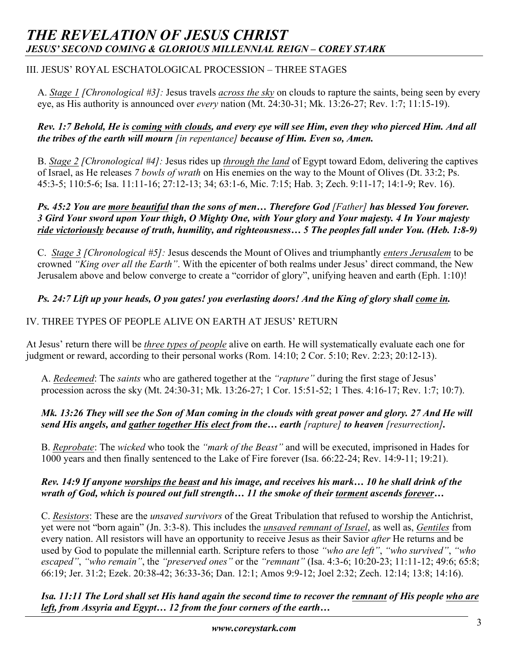# *THE REVELATION OF JESUS CHRIST JESUS' SECOND COMING & GLORIOUS MILLENNIAL REIGN – COREY STARK*

# III. JESUS' ROYAL ESCHATOLOGICAL PROCESSION – THREE STAGES

A. *Stage 1 [Chronological #3]:* Jesus travels *across the sky* on clouds to rapture the saints, being seen by every eye, as His authority is announced over *every* nation (Mt. 24:30-31; Mk. 13:26-27; Rev. 1:7; 11:15-19).

#### *Rev. 1:7 Behold, He is coming with clouds, and every eye will see Him, even they who pierced Him. And all the tribes of the earth will mourn [in repentance] because of Him. Even so, Amen.*

B. *Stage 2 [Chronological #4]:* Jesus rides up *through the land* of Egypt toward Edom, delivering the captives of Israel, as He releases *7 bowls of wrath* on His enemies on the way to the Mount of Olives (Dt. 33:2; Ps. 45:3-5; 110:5-6; Isa. 11:11-16; 27:12-13; 34; 63:1-6, Mic. 7:15; Hab. 3; Zech. 9:11-17; 14:1-9; Rev. 16).

# *Ps. 45:2 You are more beautiful than the sons of men… Therefore God [Father] has blessed You forever. 3 Gird Your sword upon Your thigh, O Mighty One, with Your glory and Your majesty. 4 In Your majesty ride victoriously because of truth, humility, and righteousness… 5 The peoples fall under You. (Heb. 1:8-9)*

C. *Stage 3 [Chronological #5]:* Jesus descends the Mount of Olives and triumphantly *enters Jerusalem* to be crowned *"King over all the Earth"*. With the epicenter of both realms under Jesus' direct command, the New Jerusalem above and below converge to create a "corridor of glory", unifying heaven and earth (Eph. 1:10)!

# *Ps. 24:7 Lift up your heads, O you gates! you everlasting doors! And the King of glory shall come in.*

# IV. THREE TYPES OF PEOPLE ALIVE ON EARTH AT JESUS' RETURN

At Jesus' return there will be *three types of people* alive on earth. He will systematically evaluate each one for judgment or reward, according to their personal works (Rom. 14:10; 2 Cor. 5:10; Rev. 2:23; 20:12-13).

A. *Redeemed*: The *saints* who are gathered together at the *"rapture"* during the first stage of Jesus' procession across the sky (Mt. 24:30-31; Mk. 13:26-27; 1 Cor. 15:51-52; 1 Thes. 4:16-17; Rev. 1:7; 10:7).

# *Mk. 13:26 They will see the Son of Man coming in the clouds with great power and glory. 27 And He will send His angels, and gather together His elect from the… earth [rapture] to heaven [resurrection].*

B. *Reprobate*: The *wicked* who took the *"mark of the Beast"* and will be executed, imprisoned in Hades for 1000 years and then finally sentenced to the Lake of Fire forever (Isa. 66:22-24; Rev. 14:9-11; 19:21).

#### *Rev. 14:9 If anyone worships the beast and his image, and receives his mark… 10 he shall drink of the wrath of God, which is poured out full strength… 11 the smoke of their torment ascends forever…*

C. *Resistors*: These are the *unsaved survivors* of the Great Tribulation that refused to worship the Antichrist, yet were not "born again" (Jn. 3:3-8). This includes the *unsaved remnant of Israel*, as well as, *Gentiles* from every nation. All resistors will have an opportunity to receive Jesus as their Savior *after* He returns and be used by God to populate the millennial earth. Scripture refers to those *"who are left"*, *"who survived"*, *"who escaped"*, *"who remain"*, the *"preserved ones"* or the *"remnant"* (Isa. 4:3-6; 10:20-23; 11:11-12; 49:6; 65:8; 66:19; Jer. 31:2; Ezek. 20:38-42; 36:33-36; Dan. 12:1; Amos 9:9-12; Joel 2:32; Zech. 12:14; 13:8; 14:16).

*Isa. 11:11 The Lord shall set His hand again the second time to recover the remnant of His people who are left, from Assyria and Egypt… 12 from the four corners of the earth…*